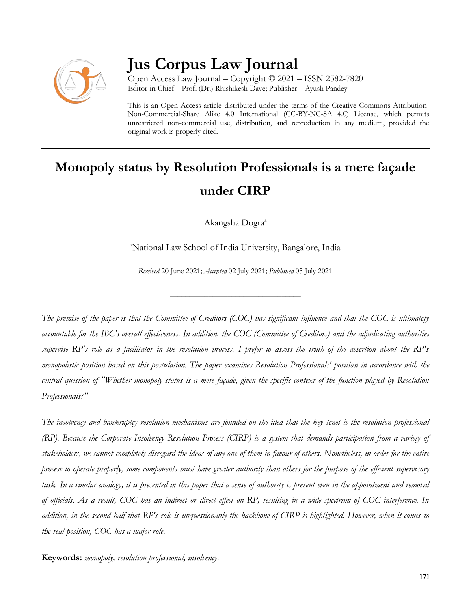

# **Jus Corpus Law Journal**

Open Access Law Journal – Copyright © 2021 – ISSN 2582-7820 Editor-in-Chief – Prof. (Dr.) Rhishikesh Dave; Publisher – Ayush Pandey

This is an Open Access article distributed under the terms of the Creative Commons Attribution-Non-Commercial-Share Alike 4.0 International (CC-BY-NC-SA 4.0) License, which permits unrestricted non-commercial use, distribution, and reproduction in any medium, provided the original work is properly cited.

# **Monopoly status by Resolution Professionals is a mere façade under CIRP**

Akangsha Dogra<sup>a</sup>

<sup>a</sup>National Law School of India University, Bangalore, India

*Received* 20 June 2021; *Accepted* 02 July 2021; *Published* 05 July 2021

\_\_\_\_\_\_\_\_\_\_\_\_\_\_\_\_\_\_\_\_\_\_\_\_\_\_\_\_\_\_\_\_\_\_

*The premise of the paper is that the Committee of Creditors (COC) has significant influence and that the COC is ultimately accountable for the IBC's overall effectiveness. In addition, the COC (Committee of Creditors) and the adjudicating authorities supervise RP's role as a facilitator in the resolution process. I prefer to assess the truth of the assertion about the RP's monopolistic position based on this postulation. The paper examines Resolution Professionals' position in accordance with the central question of "Whether monopoly status is a mere façade, given the specific context of the function played by Resolution Professionals?"*

*The insolvency and bankruptcy resolution mechanisms are founded on the idea that the key tenet is the resolution professional (RP). Because the Corporate Insolvency Resolution Process (CIRP) is a system that demands participation from a variety of stakeholders, we cannot completely disregard the ideas of any one of them in favour of others. Nonetheless, in order for the entire process to operate properly, some components must have greater authority than others for the purpose of the efficient supervisory task. In a similar analogy, it is presented in this paper that a sense of authority is present even in the appointment and removal of officials. As a result, COC has an indirect or direct effect on RP, resulting in a wide spectrum of COC interference. In addition, in the second half that RP's role is unquestionably the backbone of CIRP is highlighted. However, when it comes to the real position, COC has a major role.*

**Keywords:** *monopoly, resolution professional, insolvency.*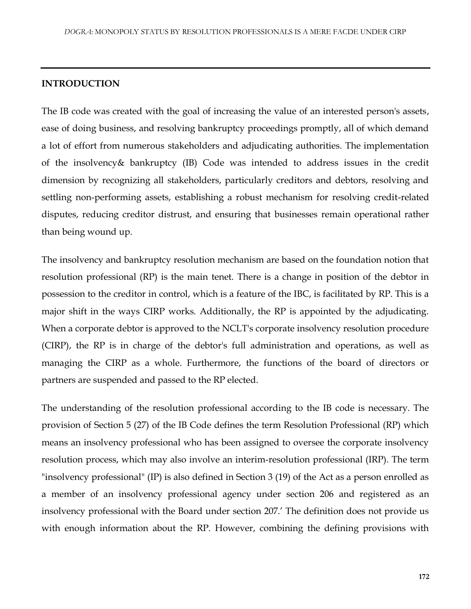#### **INTRODUCTION**

The IB code was created with the goal of increasing the value of an interested person's assets, ease of doing business, and resolving bankruptcy proceedings promptly, all of which demand a lot of effort from numerous stakeholders and adjudicating authorities. The implementation of the insolvency& bankruptcy (IB) Code was intended to address issues in the credit dimension by recognizing all stakeholders, particularly creditors and debtors, resolving and settling non-performing assets, establishing a robust mechanism for resolving credit-related disputes, reducing creditor distrust, and ensuring that businesses remain operational rather than being wound up.

The insolvency and bankruptcy resolution mechanism are based on the foundation notion that resolution professional (RP) is the main tenet. There is a change in position of the debtor in possession to the creditor in control, which is a feature of the IBC, is facilitated by RP. This is a major shift in the ways CIRP works. Additionally, the RP is appointed by the adjudicating. When a corporate debtor is approved to the NCLT's corporate insolvency resolution procedure (CIRP), the RP is in charge of the debtor's full administration and operations, as well as managing the CIRP as a whole. Furthermore, the functions of the board of directors or partners are suspended and passed to the RP elected.

The understanding of the resolution professional according to the IB code is necessary. The provision of Section 5 (27) of the IB Code defines the term Resolution Professional (RP) which means an insolvency professional who has been assigned to oversee the corporate insolvency resolution process, which may also involve an interim-resolution professional (IRP). The term "insolvency professional" (IP) is also defined in Section 3 (19) of the Act as a person enrolled as a member of an insolvency professional agency under section 206 and registered as an insolvency professional with the Board under section 207.' The definition does not provide us with enough information about the RP. However, combining the defining provisions with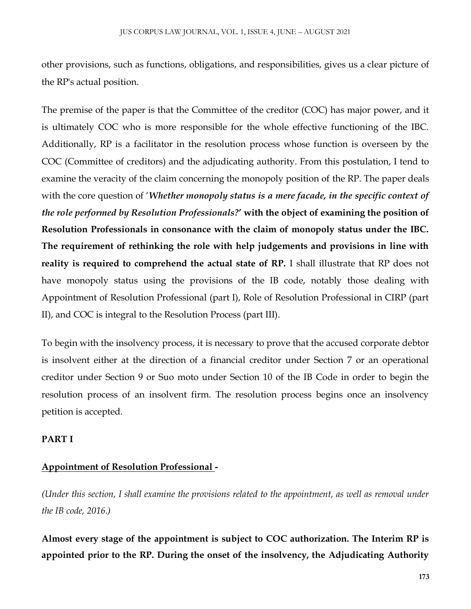other provisions, such as functions, obligations, and responsibilities, gives us a clear picture of the RP's actual position.

The premise of the paper is that the Committee of the creditor (COC) has major power, and it is ultimately COC who is more responsible for the whole effective functioning of the IBC. Additionally, RP is a facilitator in the resolution process whose function is overseen by the COC (Committee of creditors) and the adjudicating authority. From this postulation, I tend to examine the veracity of the claim concerning the monopoly position of the RP. The paper deals with the core question of '*Whether monopoly status is a mere facade, in the specific context of the role performed by Resolution Professionals?***' with the object of examining the position of Resolution Professionals in consonance with the claim of monopoly status under the IBC. The requirement of rethinking the role with help judgements and provisions in line with reality is required to comprehend the actual state of RP.** I shall illustrate that RP does not have monopoly status using the provisions of the IB code, notably those dealing with Appointment of Resolution Professional (part I), Role of Resolution Professional in CIRP (part II), and COC is integral to the Resolution Process (part III).

To begin with the insolvency process, it is necessary to prove that the accused corporate debtor is insolvent either at the direction of a financial creditor under Section 7 or an operational creditor under Section 9 or Suo moto under Section 10 of the IB Code in order to begin the resolution process of an insolvent firm. The resolution process begins once an insolvency petition is accepted.

#### **PART I**

# **Appointment of Resolution Professional -**

*(Under this section, I shall examine the provisions related to the appointment, as well as removal under the IB code, 2016.)*

**Almost every stage of the appointment is subject to COC authorization. The Interim RP is appointed prior to the RP. During the onset of the insolvency, the Adjudicating Authority**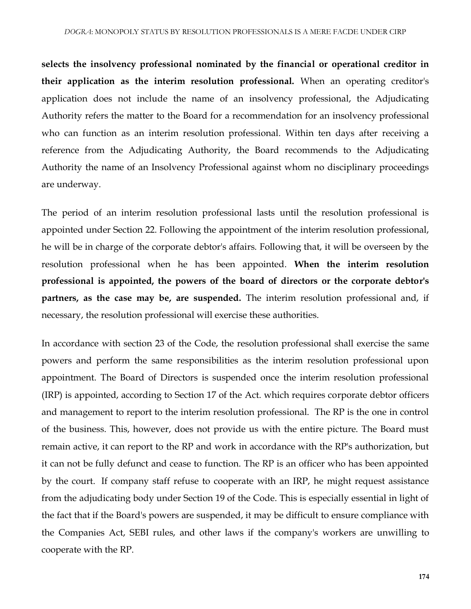**selects the insolvency professional nominated by the financial or operational creditor in their application as the interim resolution professional.** When an operating creditor's application does not include the name of an insolvency professional, the Adjudicating Authority refers the matter to the Board for a recommendation for an insolvency professional who can function as an interim resolution professional. Within ten days after receiving a reference from the Adjudicating Authority, the Board recommends to the Adjudicating Authority the name of an Insolvency Professional against whom no disciplinary proceedings are underway.

The period of an interim resolution professional lasts until the resolution professional is appointed under Section 22. Following the appointment of the interim resolution professional, he will be in charge of the corporate debtor's affairs. Following that, it will be overseen by the resolution professional when he has been appointed. **When the interim resolution professional is appointed, the powers of the board of directors or the corporate debtor's partners, as the case may be, are suspended.** The interim resolution professional and, if necessary, the resolution professional will exercise these authorities.

In accordance with section 23 of the Code, the resolution professional shall exercise the same powers and perform the same responsibilities as the interim resolution professional upon appointment. The Board of Directors is suspended once the interim resolution professional (IRP) is appointed, according to Section 17 of the Act. which requires corporate debtor officers and management to report to the interim resolution professional. The RP is the one in control of the business. This, however, does not provide us with the entire picture. The Board must remain active, it can report to the RP and work in accordance with the RP's authorization, but it can not be fully defunct and cease to function. The RP is an officer who has been appointed by the court. If company staff refuse to cooperate with an IRP, he might request assistance from the adjudicating body under Section 19 of the Code. This is especially essential in light of the fact that if the Board's powers are suspended, it may be difficult to ensure compliance with the Companies Act, SEBI rules, and other laws if the company's workers are unwilling to cooperate with the RP.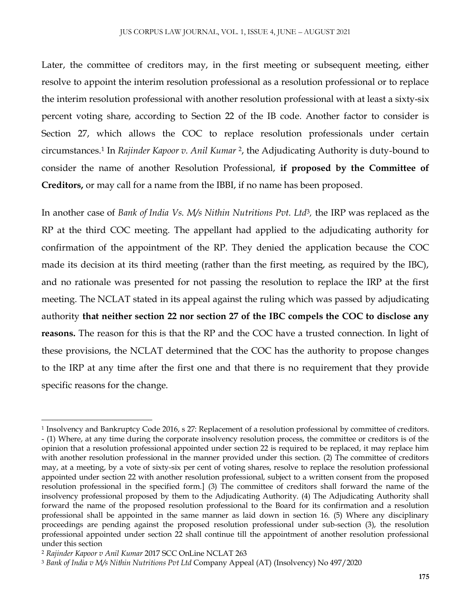Later, the committee of creditors may, in the first meeting or subsequent meeting, either resolve to appoint the interim resolution professional as a resolution professional or to replace the interim resolution professional with another resolution professional with at least a sixty-six percent voting share, according to Section 22 of the IB code. Another factor to consider is Section 27, which allows the COC to replace resolution professionals under certain circumstances.<sup>1</sup> In *Rajinder Kapoor v. Anil Kumar* <sup>2</sup> , the Adjudicating Authority is duty-bound to consider the name of another Resolution Professional, **if proposed by the Committee of Creditors,** or may call for a name from the IBBI, if no name has been proposed.

In another case of *Bank of India Vs. M/s Nithin Nutritions Pvt. Ltd<sup>3</sup>, the IRP was replaced as the* RP at the third COC meeting. The appellant had applied to the adjudicating authority for confirmation of the appointment of the RP. They denied the application because the COC made its decision at its third meeting (rather than the first meeting, as required by the IBC), and no rationale was presented for not passing the resolution to replace the IRP at the first meeting. The NCLAT stated in its appeal against the ruling which was passed by adjudicating authority **that neither section 22 nor section 27 of the IBC compels the COC to disclose any reasons.** The reason for this is that the RP and the COC have a trusted connection. In light of these provisions, the NCLAT determined that the COC has the authority to propose changes to the IRP at any time after the first one and that there is no requirement that they provide specific reasons for the change.

 $\overline{\phantom{a}}$ 

<sup>1</sup> Insolvency and Bankruptcy Code 2016, s 27: Replacement of a resolution professional by committee of creditors. - (1) Where, at any time during the corporate insolvency resolution process, the committee or creditors is of the opinion that a resolution professional appointed under section 22 is required to be replaced, it may replace him with another resolution professional in the manner provided under this section. (2) The committee of creditors may, at a meeting, by a vote of sixty-six per cent of voting shares, resolve to replace the resolution professional appointed under section 22 with another resolution professional, subject to a written consent from the proposed resolution professional in the specified form.] (3) The committee of creditors shall forward the name of the insolvency professional proposed by them to the Adjudicating Authority. (4) The Adjudicating Authority shall forward the name of the proposed resolution professional to the Board for its confirmation and a resolution professional shall be appointed in the same manner as laid down in section 16. (5) Where any disciplinary proceedings are pending against the proposed resolution professional under sub-section (3), the resolution professional appointed under section 22 shall continue till the appointment of another resolution professional under this section

<sup>2</sup> *Rajinder Kapoor v Anil Kumar* 2017 SCC OnLine NCLAT 263

<sup>3</sup> *Bank of India v M/s Nithin Nutritions Pvt Ltd* Company Appeal (AT) (Insolvency) No 497/2020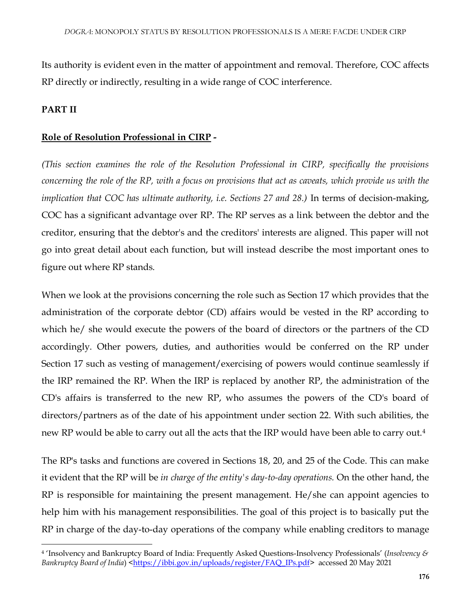Its authority is evident even in the matter of appointment and removal. Therefore, COC affects RP directly or indirectly, resulting in a wide range of COC interference.

# **PART II**

### **Role of Resolution Professional in CIRP -**

*(This section examines the role of the Resolution Professional in CIRP, specifically the provisions concerning the role of the RP, with a focus on provisions that act as caveats, which provide us with the implication that COC has ultimate authority, i.e. Sections 27 and 28.)* In terms of decision-making, COC has a significant advantage over RP. The RP serves as a link between the debtor and the creditor, ensuring that the debtor's and the creditors' interests are aligned. This paper will not go into great detail about each function, but will instead describe the most important ones to figure out where RP stands.

When we look at the provisions concerning the role such as Section 17 which provides that the administration of the corporate debtor (CD) affairs would be vested in the RP according to which he/ she would execute the powers of the board of directors or the partners of the CD accordingly. Other powers, duties, and authorities would be conferred on the RP under Section 17 such as vesting of management/exercising of powers would continue seamlessly if the IRP remained the RP. When the IRP is replaced by another RP, the administration of the CD's affairs is transferred to the new RP, who assumes the powers of the CD's board of directors/partners as of the date of his appointment under section 22. With such abilities, the new RP would be able to carry out all the acts that the IRP would have been able to carry out.<sup>4</sup>

The RP's tasks and functions are covered in Sections 18, 20, and 25 of the Code. This can make it evident that the RP will be *in charge of the entity's day-to-day operations.* On the other hand, the RP is responsible for maintaining the present management. He/she can appoint agencies to help him with his management responsibilities. The goal of this project is to basically put the RP in charge of the day-to-day operations of the company while enabling creditors to manage

 $\overline{\phantom{a}}$ <sup>4</sup> 'Insolvency and Bankruptcy Board of India: Frequently Asked Questions-Insolvency Professionals' (*Insolvency & Bankruptcy Board of India*) [<https://ibbi.gov.in/uploads/register/FAQ\\_IPs.pdf>](https://ibbi.gov.in/uploads/register/FAQ_IPs.pdf) accessed 20 May 2021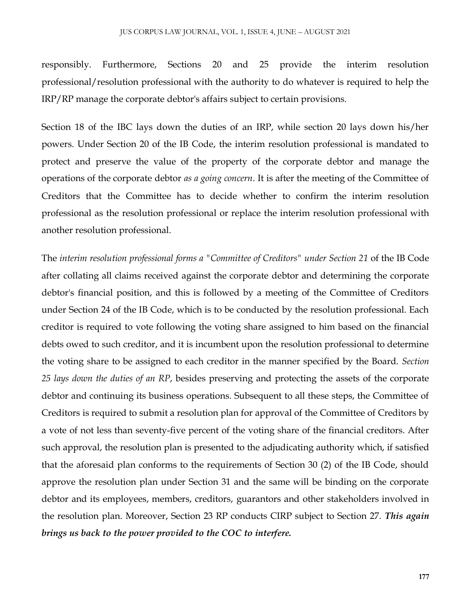responsibly. Furthermore, Sections 20 and 25 provide the interim resolution professional/resolution professional with the authority to do whatever is required to help the IRP/RP manage the corporate debtor's affairs subject to certain provisions.

Section 18 of the IBC lays down the duties of an IRP, while section 20 lays down his/her powers. Under Section 20 of the IB Code, the interim resolution professional is mandated to protect and preserve the value of the property of the corporate debtor and manage the operations of the corporate debtor *as a going concern*. It is after the meeting of the Committee of Creditors that the Committee has to decide whether to confirm the interim resolution professional as the resolution professional or replace the interim resolution professional with another resolution professional.

The *interim resolution professional forms a "Committee of Creditors" under Section 21* of the IB Code after collating all claims received against the corporate debtor and determining the corporate debtor's financial position, and this is followed by a meeting of the Committee of Creditors under Section 24 of the IB Code, which is to be conducted by the resolution professional. Each creditor is required to vote following the voting share assigned to him based on the financial debts owed to such creditor, and it is incumbent upon the resolution professional to determine the voting share to be assigned to each creditor in the manner specified by the Board. *Section 25 lays down the duties of an RP*, besides preserving and protecting the assets of the corporate debtor and continuing its business operations. Subsequent to all these steps, the Committee of Creditors is required to submit a resolution plan for approval of the Committee of Creditors by a vote of not less than seventy-five percent of the voting share of the financial creditors. After such approval, the resolution plan is presented to the adjudicating authority which, if satisfied that the aforesaid plan conforms to the requirements of Section 30 (2) of the IB Code, should approve the resolution plan under Section 31 and the same will be binding on the corporate debtor and its employees, members, creditors, guarantors and other stakeholders involved in the resolution plan. Moreover, Section 23 RP conducts CIRP subject to Section 27. *This again brings us back to the power provided to the COC to interfere.*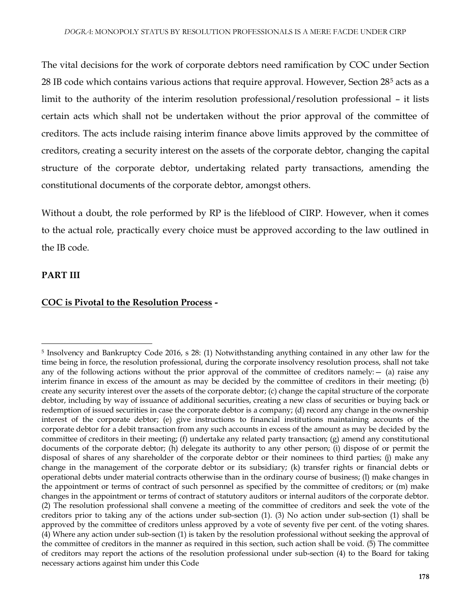The vital decisions for the work of corporate debtors need ramification by COC under Section 28 IB code which contains various actions that require approval. However, Section 28<sup>5</sup> acts as a limit to the authority of the interim resolution professional/resolution professional – it lists certain acts which shall not be undertaken without the prior approval of the committee of creditors. The acts include raising interim finance above limits approved by the committee of creditors, creating a security interest on the assets of the corporate debtor, changing the capital structure of the corporate debtor, undertaking related party transactions, amending the constitutional documents of the corporate debtor, amongst others.

Without a doubt, the role performed by RP is the lifeblood of CIRP. However, when it comes to the actual role, practically every choice must be approved according to the law outlined in the IB code.

# **PART III**

#### **COC is Pivotal to the Resolution Process -**

 $\overline{\phantom{a}}$ <sup>5</sup> Insolvency and Bankruptcy Code 2016, s 28: (1) Notwithstanding anything contained in any other law for the time being in force, the resolution professional, during the corporate insolvency resolution process, shall not take any of the following actions without the prior approval of the committee of creditors namely:  $-$  (a) raise any interim finance in excess of the amount as may be decided by the committee of creditors in their meeting; (b) create any security interest over the assets of the corporate debtor; (c) change the capital structure of the corporate debtor, including by way of issuance of additional securities, creating a new class of securities or buying back or redemption of issued securities in case the corporate debtor is a company; (d) record any change in the ownership interest of the corporate debtor; (e) give instructions to financial institutions maintaining accounts of the corporate debtor for a debit transaction from any such accounts in excess of the amount as may be decided by the committee of creditors in their meeting; (f) undertake any related party transaction; (g) amend any constitutional documents of the corporate debtor; (h) delegate its authority to any other person; (i) dispose of or permit the disposal of shares of any shareholder of the corporate debtor or their nominees to third parties; (j) make any change in the management of the corporate debtor or its subsidiary; (k) transfer rights or financial debts or operational debts under material contracts otherwise than in the ordinary course of business; (l) make changes in the appointment or terms of contract of such personnel as specified by the committee of creditors; or (m) make changes in the appointment or terms of contract of statutory auditors or internal auditors of the corporate debtor. (2) The resolution professional shall convene a meeting of the committee of creditors and seek the vote of the creditors prior to taking any of the actions under sub-section (1). (3) No action under sub-section (1) shall be approved by the committee of creditors unless approved by a vote of seventy five per cent. of the voting shares. (4) Where any action under sub-section (1) is taken by the resolution professional without seeking the approval of the committee of creditors in the manner as required in this section, such action shall be void. (5) The committee of creditors may report the actions of the resolution professional under sub-section (4) to the Board for taking necessary actions against him under this Code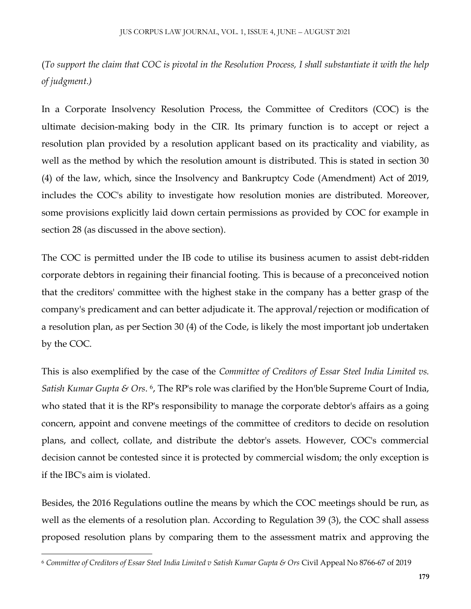(*To support the claim that COC is pivotal in the Resolution Process, I shall substantiate it with the help of judgment.)*

In a Corporate Insolvency Resolution Process, the Committee of Creditors (COC) is the ultimate decision-making body in the CIR. Its primary function is to accept or reject a resolution plan provided by a resolution applicant based on its practicality and viability, as well as the method by which the resolution amount is distributed. This is stated in section 30 (4) of the law, which, since the Insolvency and Bankruptcy Code (Amendment) Act of 2019, includes the COC's ability to investigate how resolution monies are distributed. Moreover, some provisions explicitly laid down certain permissions as provided by COC for example in section 28 (as discussed in the above section).

The COC is permitted under the IB code to utilise its business acumen to assist debt-ridden corporate debtors in regaining their financial footing. This is because of a preconceived notion that the creditors' committee with the highest stake in the company has a better grasp of the company's predicament and can better adjudicate it. The approval/rejection or modification of a resolution plan, as per Section 30 (4) of the Code, is likely the most important job undertaken by the COC.

This is also exemplified by the case of the *Committee of Creditors of Essar Steel India Limited vs. Satish Kumar Gupta & Ors.* 6, The RP's role was clarified by the Hon'ble Supreme Court of India, who stated that it is the RP's responsibility to manage the corporate debtor's affairs as a going concern, appoint and convene meetings of the committee of creditors to decide on resolution plans, and collect, collate, and distribute the debtor's assets. However, COC's commercial decision cannot be contested since it is protected by commercial wisdom; the only exception is if the IBC's aim is violated.

Besides, the 2016 Regulations outline the means by which the COC meetings should be run, as well as the elements of a resolution plan. According to Regulation 39 (3), the COC shall assess proposed resolution plans by comparing them to the assessment matrix and approving the

 $\overline{\phantom{a}}$ 

<sup>6</sup> *Committee of Creditors of Essar Steel India Limited v Satish Kumar Gupta & Ors* Civil Appeal No 8766-67 of 2019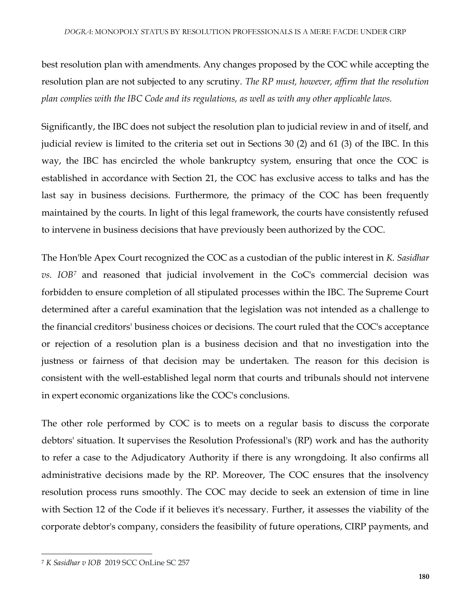best resolution plan with amendments. Any changes proposed by the COC while accepting the resolution plan are not subjected to any scrutiny. *The RP must, however, affirm that the resolution plan complies with the IBC Code and its regulations, as well as with any other applicable laws.*

Significantly, the IBC does not subject the resolution plan to judicial review in and of itself, and judicial review is limited to the criteria set out in Sections 30 (2) and 61 (3) of the IBC. In this way, the IBC has encircled the whole bankruptcy system, ensuring that once the COC is established in accordance with Section 21, the COC has exclusive access to talks and has the last say in business decisions. Furthermore, the primacy of the COC has been frequently maintained by the courts. In light of this legal framework, the courts have consistently refused to intervene in business decisions that have previously been authorized by the COC.

The Hon'ble Apex Court recognized the COC as a custodian of the public interest in *K. Sasidhar vs. IOB<sup>7</sup>* and reasoned that judicial involvement in the CoC's commercial decision was forbidden to ensure completion of all stipulated processes within the IBC. The Supreme Court determined after a careful examination that the legislation was not intended as a challenge to the financial creditors' business choices or decisions. The court ruled that the COC's acceptance or rejection of a resolution plan is a business decision and that no investigation into the justness or fairness of that decision may be undertaken. The reason for this decision is consistent with the well-established legal norm that courts and tribunals should not intervene in expert economic organizations like the COC's conclusions.

The other role performed by COC is to meets on a regular basis to discuss the corporate debtors' situation. It supervises the Resolution Professional's (RP) work and has the authority to refer a case to the Adjudicatory Authority if there is any wrongdoing. It also confirms all administrative decisions made by the RP. Moreover, The COC ensures that the insolvency resolution process runs smoothly. The COC may decide to seek an extension of time in line with Section 12 of the Code if it believes it's necessary. Further, it assesses the viability of the corporate debtor's company, considers the feasibility of future operations, CIRP payments, and

 $\overline{\phantom{a}}$ 

<sup>7</sup> *K Sasidhar v IOB* 2019 SCC OnLine SC 257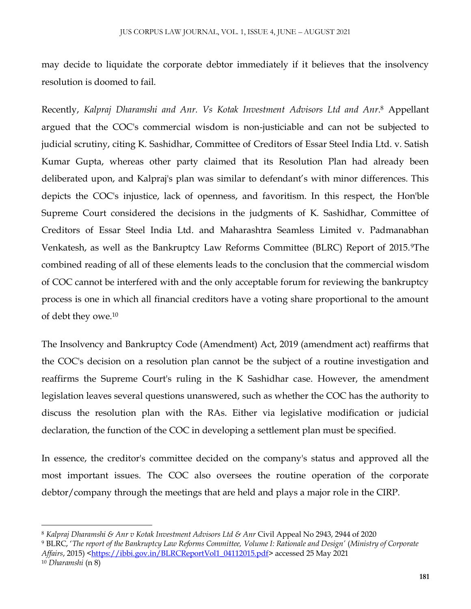may decide to liquidate the corporate debtor immediately if it believes that the insolvency resolution is doomed to fail.

Recently, *Kalpraj Dharamshi and Anr. Vs Kotak Investment Advisors Ltd and Anr*. <sup>8</sup> Appellant argued that the COC's commercial wisdom is non-justiciable and can not be subjected to judicial scrutiny, citing K. Sashidhar, Committee of Creditors of Essar Steel India Ltd. v. Satish Kumar Gupta, whereas other party claimed that its Resolution Plan had already been deliberated upon, and Kalpraj's plan was similar to defendant's with minor differences. This depicts the COC's injustice, lack of openness, and favoritism. In this respect, the Hon'ble Supreme Court considered the decisions in the judgments of K. Sashidhar, Committee of Creditors of Essar Steel India Ltd. and Maharashtra Seamless Limited v. Padmanabhan Venkatesh, as well as the Bankruptcy Law Reforms Committee (BLRC) Report of 2015.9The combined reading of all of these elements leads to the conclusion that the commercial wisdom of COC cannot be interfered with and the only acceptable forum for reviewing the bankruptcy process is one in which all financial creditors have a voting share proportional to the amount of debt they owe.<sup>10</sup>

The Insolvency and Bankruptcy Code (Amendment) Act, 2019 (amendment act) reaffirms that the COC's decision on a resolution plan cannot be the subject of a routine investigation and reaffirms the Supreme Court's ruling in the K Sashidhar case. However, the amendment legislation leaves several questions unanswered, such as whether the COC has the authority to discuss the resolution plan with the RAs. Either via legislative modification or judicial declaration, the function of the COC in developing a settlement plan must be specified.

In essence, the creditor's committee decided on the company's status and approved all the most important issues. The COC also oversees the routine operation of the corporate debtor/company through the meetings that are held and plays a major role in the CIRP.

 $\overline{\phantom{a}}$ <sup>8</sup> *Kalpraj Dharamshi & Anr v Kotak Investment Advisors Ltd & Anr* Civil Appeal No 2943, 2944 of 2020

<sup>9</sup> BLRC, '*The report of the Bankruptcy Law Reforms Committee, Volume I: Rationale and Design'* (*Ministry of Corporate Affairs*, 2015) [<https://ibbi.gov.in/BLRCReportVol1\\_04112015.pdf>](https://ibbi.gov.in/BLRCReportVol1_04112015.pdf) accessed 25 May 2021

<sup>10</sup> *Dharamshi* (n 8)